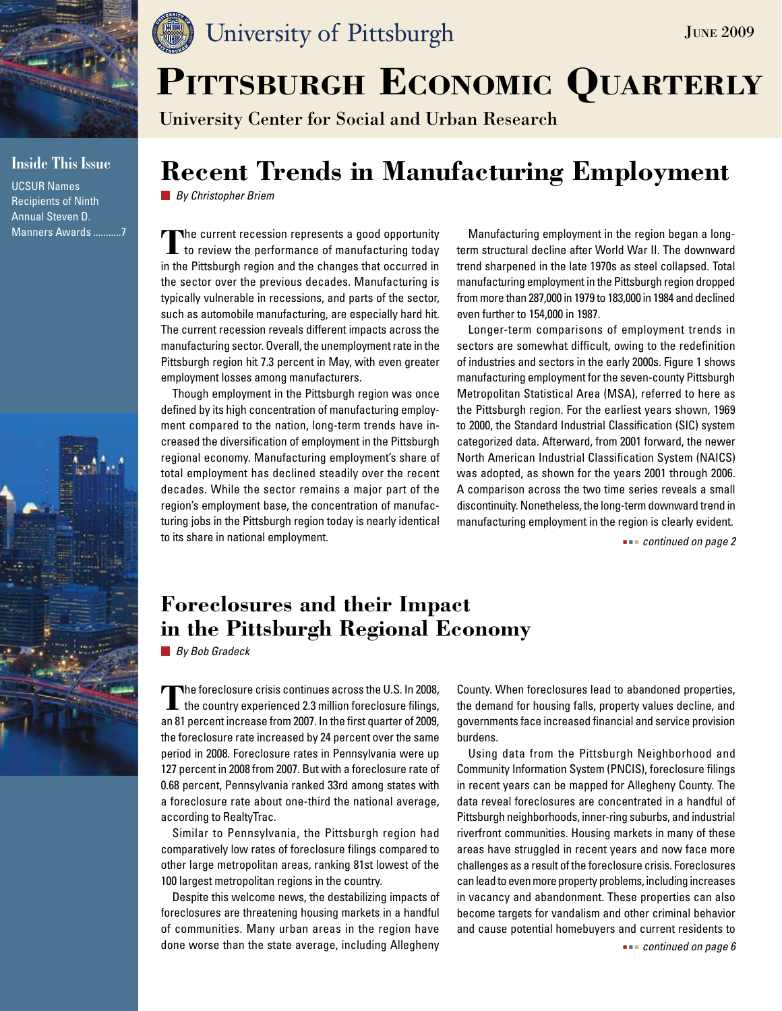

### **Inside This Issue**

UCSUR Names Recipients of Ninth Annual Steven D. Manners Awards ...........7



# University of Pittsburgh

University Center for Social and Urban Research

# **Recent Trends in Manufacturing Employment**

*By Christopher Briem*

The current recession represents a good opportunity<br> **to review the performance of manufacturing today** in the Pittsburgh region and the changes that occurred in the sector over the previous decades. Manufacturing is typically vulnerable in recessions, and parts of the sector, such as automobile manufacturing, are especially hard hit. The current recession reveals different impacts across the manufacturing sector. Overall, the unemployment rate in the Pittsburgh region hit 7.3 percent in May, with even greater employment losses among manufacturers.

Though employment in the Pittsburgh region was once defined by its high concentration of manufacturing employment compared to the nation, long-term trends have increased the diversification of employment in the Pittsburgh regional economy. Manufacturing employment's share of total employment has declined steadily over the recent decades. While the sector remains a major part of the region's employment base, the concentration of manufacturing jobs in the Pittsburgh region today is nearly identical to its share in national employment.

Manufacturing employment in the region began a longterm structural decline after World War II. The downward trend sharpened in the late 1970s as steel collapsed. Total manufacturing employment in the Pittsburgh region dropped from more than 287,000 in 1979 to 183,000 in 1984 and declined even further to 154,000 in 1987.

Longer-term comparisons of employment trends in sectors are somewhat difficult, owing to the redefinition of industries and sectors in the early 2000s. Figure 1 shows manufacturing employment for the seven-county Pittsburgh Metropolitan Statistical Area (MSA), referred to here as the Pittsburgh region. For the earliest years shown, 1969 to 2000, the Standard Industrial Classification (SIC) system categorized data. Afterward, from 2001 forward, the newer North American Industrial Classification System (NAICS) was adopted, as shown for the years 2001 through 2006. A comparison across the two time series reveals a small discontinuity. Nonetheless, the long-term downward trend in manufacturing employment in the region is clearly evident.

 *continued on page 2*

June 2009

### **Foreclosures and their Impact in the Pittsburgh Regional Economy**

*By Bob Gradeck*

The foreclosure crisis continues across the U.S. In 2008, the country experienced 2.3 million foreclosure filings, an 81 percent increase from 2007. In the first quarter of 2009, the foreclosure rate increased by 24 percent over the same period in 2008. Foreclosure rates in Pennsylvania were up 127 percent in 2008 from 2007. But with a foreclosure rate of 0.68 percent, Pennsylvania ranked 33rd among states with a foreclosure rate about one-third the national average, according to RealtyTrac.

Similar to Pennsylvania, the Pittsburgh region had comparatively low rates of foreclosure filings compared to other large metropolitan areas, ranking 81st lowest of the 100 largest metropolitan regions in the country.

Despite this welcome news, the destabilizing impacts of foreclosures are threatening housing markets in a handful of communities. Many urban areas in the region have done worse than the state average, including Allegheny

County. When foreclosures lead to abandoned properties, the demand for housing falls, property values decline, and governments face increased financial and service provision burdens.

Using data from the Pittsburgh Neighborhood and Community Information System (PNCIS), foreclosure filings in recent years can be mapped for Allegheny County. The data reveal foreclosures are concentrated in a handful of Pittsburgh neighborhoods, inner-ring suburbs, and industrial riverfront communities. Housing markets in many of these areas have struggled in recent years and now face more challenges as a result of the foreclosure crisis. Foreclosures can lead to even more property problems, including increases in vacancy and abandonment. These properties can also become targets for vandalism and other criminal behavior and cause potential homebuyers and current residents to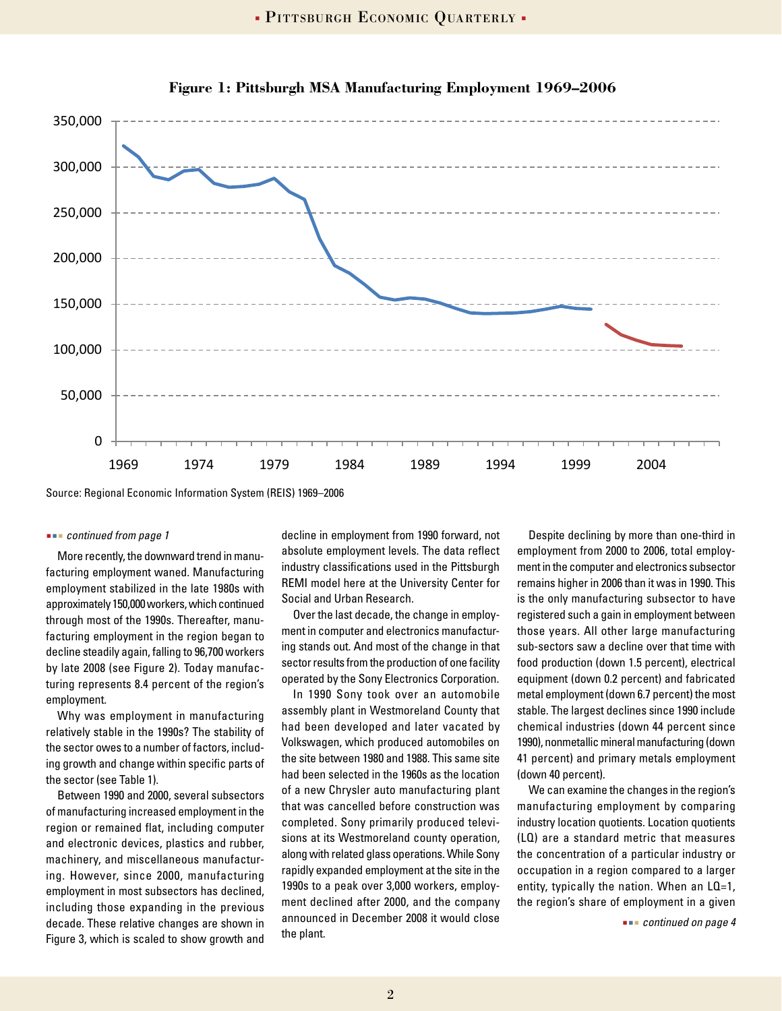

**Figure 1: Pittsburgh MSA Manufacturing Employment 1969–2006 Figure 1. Pittsburgh MSA Manufacturing Employment 1969-2006**

Source: Regional Economic Information System (REIS) 1969–2006

#### *continued from page 1*

facturing employment waned. Manufacturing employment stabilized in the late 1980s with approximately 150,000 workers, which continued through most of the 1990s. Thereafter, manufacturing employment in the region began to decline steadily again, falling to 96,700 workers by late 2008 (see Figure 2). Today manufacturing represents 8.4 percent of the region's employment.

Why was employment in manufacturing relatively stable in the 1990s? The stability of the sector owes to a number of factors, including growth and change within specific parts of the sector (see Table 1).

Between 1990 and 2000, several subsectors of manufacturing increased employment in the region or remained flat, including computer and electronic devices, plastics and rubber, machinery, and miscellaneous manufacturing. However, since 2000, manufacturing employment in most subsectors has declined, including those expanding in the previous decade. These relative changes are shown in Figure 3, which is scaled to show growth and

More recently, the downward trend in manu-<br>Consider the system process in the contract of the contract of the contract of the contract of the contract of decline in employment from 1990 forward, not absolute employment levels. The data reflect industry classifications used in the Pittsburgh REMI model here at the University Center for Social and Urban Research.

> Over the last decade, the change in employment in computer and electronics manufacturing stands out. And most of the change in that sector results from the production of one facility operated by the Sony Electronics Corporation.

> In 1990 Sony took over an automobile assembly plant in Westmoreland County that had been developed and later vacated by Volkswagen, which produced automobiles on the site between 1980 and 1988. This same site had been selected in the 1960s as the location of a new Chrysler auto manufacturing plant that was cancelled before construction was completed. Sony primarily produced televisions at its Westmoreland county operation, along with related glass operations. While Sony rapidly expanded employment at the site in the 1990s to a peak over 3,000 workers, employment declined after 2000, and the company announced in December 2008 it would close the plant.

Despite declining by more than one-third in employment from 2000 to 2006, total employment in the computer and electronics subsector remains higher in 2006 than it was in 1990. This is the only manufacturing subsector to have registered such a gain in employment between those years. All other large manufacturing sub-sectors saw a decline over that time with food production (down 1.5 percent), electrical equipment (down 0.2 percent) and fabricated metal employment (down 6.7 percent) the most stable. The largest declines since 1990 include chemical industries (down 44 percent since 1990), nonmetallic mineral manufacturing (down 41 percent) and primary metals employment (down 40 percent).

We can examine the changes in the region's manufacturing employment by comparing industry location quotients. Location quotients (LQ) are a standard metric that measures the concentration of a particular industry or occupation in a region compared to a larger entity, typically the nation. When an LQ=1, the region's share of employment in a given

 *continued on page 4*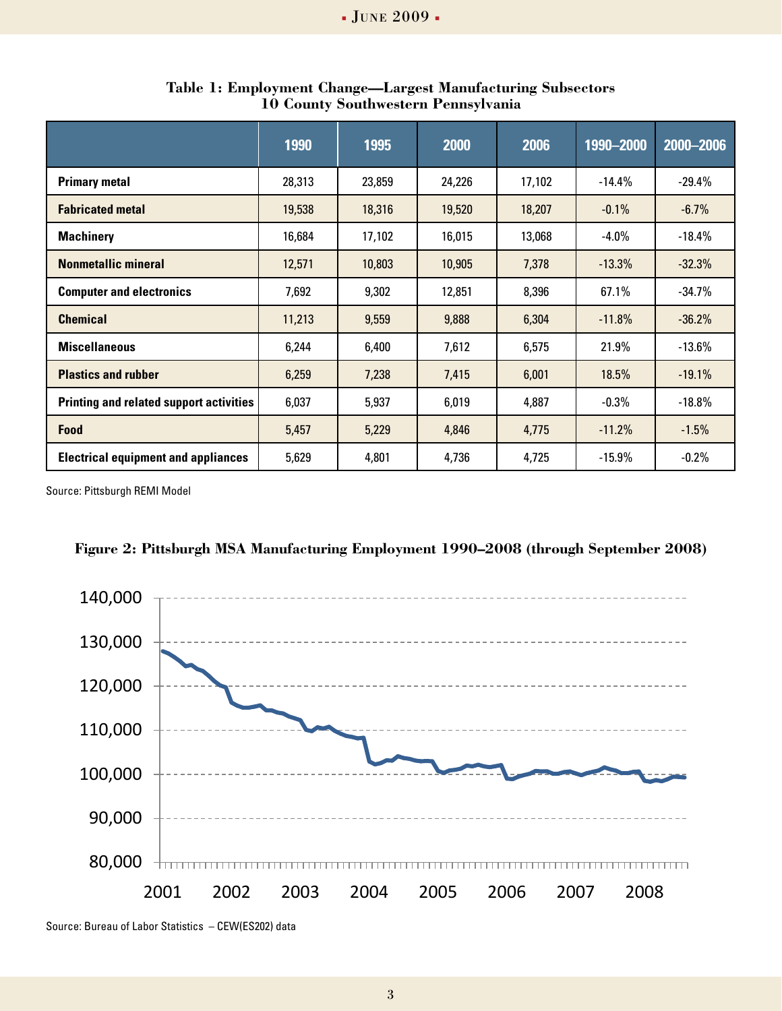|                                                | 1990   | 1995   | 2000   | 2006   | 1990-2000 | 2000-2006 |
|------------------------------------------------|--------|--------|--------|--------|-----------|-----------|
| <b>Primary metal</b>                           | 28,313 | 23,859 | 24,226 | 17,102 | $-14.4%$  | $-29.4%$  |
| <b>Fabricated metal</b>                        | 19,538 | 18,316 | 19,520 | 18,207 | $-0.1%$   | $-6.7%$   |
| <b>Machinery</b>                               | 16,684 | 17,102 | 16,015 | 13,068 | $-4.0\%$  | $-18.4%$  |
| <b>Nonmetallic mineral</b>                     | 12,571 | 10,803 | 10,905 | 7,378  | $-13.3%$  | $-32.3%$  |
| <b>Computer and electronics</b>                | 7,692  | 9,302  | 12,851 | 8,396  | 67.1%     | $-34.7%$  |
| <b>Chemical</b>                                | 11,213 | 9,559  | 9,888  | 6,304  | $-11.8%$  | $-36.2%$  |
| <b>Miscellaneous</b>                           | 6,244  | 6,400  | 7,612  | 6,575  | 21.9%     | $-13.6%$  |
| <b>Plastics and rubber</b>                     | 6,259  | 7,238  | 7,415  | 6,001  | 18.5%     | $-19.1%$  |
| <b>Printing and related support activities</b> | 6,037  | 5,937  | 6,019  | 4,887  | $-0.3%$   | $-18.8%$  |
| Food                                           | 5,457  | 5,229  | 4,846  | 4,775  | $-11.2%$  | $-1.5%$   |
| <b>Electrical equipment and appliances</b>     | 5,629  | 4,801  | 4,736  | 4,725  | $-15.9%$  | $-0.2%$   |

**Table 1: Employment Change—Largest Manufacturing Subsectors 10 County Southwestern Pennsylvania**

Source: Pittsburgh REMI Model





Source: Bureau of Labor Statistics – CEW(ES202) data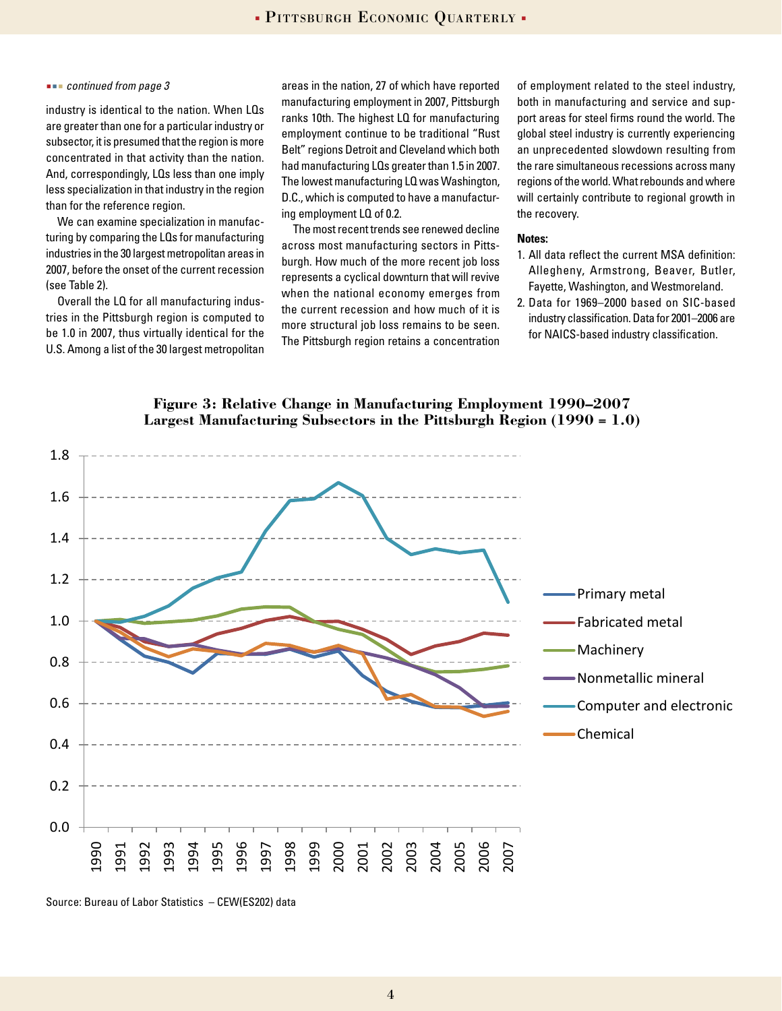#### *continued from page 3*

industry is identical to the nation. When LQs are greater than one for a particular industry or subsector, it is presumed that the region is more concentrated in that activity than the nation. And, correspondingly, LQs less than one imply less specialization in that industry in the region than for the reference region.

We can examine specialization in manufacturing by comparing the LQs for manufacturing industries in the 30 largest metropolitan areas in 2007, before the onset of the current recession (see Table 2).

Overall the LQ for all manufacturing industries in the Pittsburgh region is computed to be 1.0 in 2007, thus virtually identical for the U.S. Among a list of the 30 largest metropolitan areas in the nation, 27 of which have reported manufacturing employment in 2007, Pittsburgh ranks 10th. The highest LQ for manufacturing employment continue to be traditional "Rust Belt" regions Detroit and Cleveland which both had manufacturing LQs greater than 1.5 in 2007. The lowest manufacturing LQ was Washington, D.C., which is computed to have a manufacturing employment LQ of 0.2.

The most recent trends see renewed decline across most manufacturing sectors in Pittsburgh. How much of the more recent job loss represents a cyclical downturn that will revive when the national economy emerges from the current recession and how much of it is more structural job loss remains to be seen. The Pittsburgh region retains a concentration

of employment related to the steel industry, both in manufacturing and service and support areas for steel firms round the world. The global steel industry is currently experiencing an unprecedented slowdown resulting from the rare simultaneous recessions across many regions of the world. What rebounds and where will certainly contribute to regional growth in the recovery.

#### **Notes:**

- 1. All data reflect the current MSA definition: Allegheny, Armstrong, Beaver, Butler, Fayette, Washington, and Westmoreland.
- 2. Data for 1969–2000 based on SIC-based industry classification. Data for 2001–2006 are for NAICS-based industry classification.

**Figure 3: Relative Change in Manufacturing Employment 1990–2007 Figure 3. Relative Change in Manufacturing Employment 1990-2007 Largest Manufacturing Subsectors in the Pittsburgh Region (1990 = 1.0) Largest Manufacturing Subsectors in the Pittsburgh Region (1990 = 1.0)**



Source: Bureau of Labor Statistics – CEW(ES202) data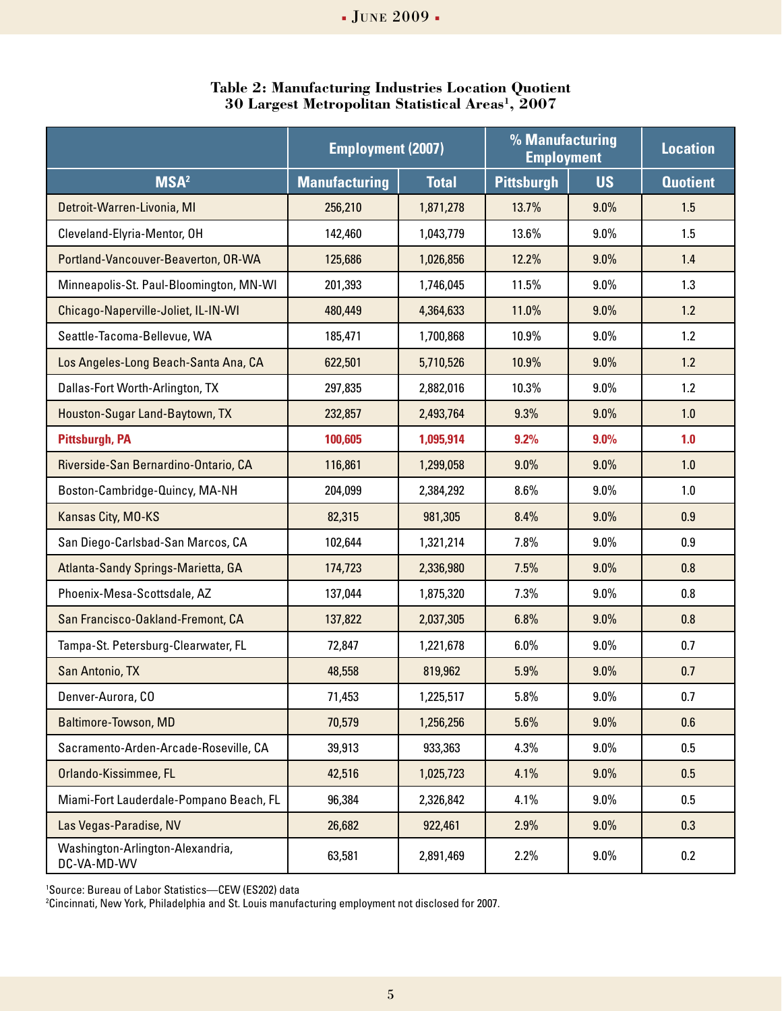|                                                 | <b>Employment (2007)</b> |              | % Manufacturing<br><b>Employment</b> |           | <b>Location</b> |
|-------------------------------------------------|--------------------------|--------------|--------------------------------------|-----------|-----------------|
| <b>MSA<sup>2</sup></b>                          | <b>Manufacturing</b>     | <b>Total</b> | <b>Pittsburgh</b>                    | <b>US</b> | <b>Quotient</b> |
| Detroit-Warren-Livonia, MI                      | 256,210                  | 1,871,278    | 13.7%                                | 9.0%      | 1.5             |
| Cleveland-Elyria-Mentor, OH                     | 142,460                  | 1,043,779    | 13.6%                                | 9.0%      | 1.5             |
| Portland-Vancouver-Beaverton, OR-WA             | 125,686                  | 1,026,856    | 12.2%                                | 9.0%      | 1.4             |
| Minneapolis-St. Paul-Bloomington, MN-WI         | 201,393                  | 1,746,045    | 11.5%                                | 9.0%      | 1.3             |
| Chicago-Naperville-Joliet, IL-IN-WI             | 480,449                  | 4,364,633    | 11.0%                                | 9.0%      | 1.2             |
| Seattle-Tacoma-Bellevue, WA                     | 185,471                  | 1,700,868    | 10.9%                                | $9.0\%$   | 1.2             |
| Los Angeles-Long Beach-Santa Ana, CA            | 622,501                  | 5,710,526    | 10.9%                                | 9.0%      | 1.2             |
| Dallas-Fort Worth-Arlington, TX                 | 297,835                  | 2,882,016    | 10.3%                                | $9.0\%$   | 1.2             |
| Houston-Sugar Land-Baytown, TX                  | 232,857                  | 2,493,764    | 9.3%                                 | 9.0%      | 1.0             |
| <b>Pittsburgh, PA</b>                           | 100,605                  | 1,095,914    | 9.2%                                 | 9.0%      | 1.0             |
| Riverside-San Bernardino-Ontario, CA            | 116,861                  | 1,299,058    | 9.0%                                 | 9.0%      | 1.0             |
| Boston-Cambridge-Quincy, MA-NH                  | 204,099                  | 2,384,292    | $8.6\%$                              | $9.0\%$   | 1.0             |
| Kansas City, MO-KS                              | 82,315                   | 981,305      | 8.4%                                 | 9.0%      | 0.9             |
| San Diego-Carlsbad-San Marcos, CA               | 102,644                  | 1,321,214    | 7.8%                                 | $9.0\%$   | 0.9             |
| Atlanta-Sandy Springs-Marietta, GA              | 174,723                  | 2,336,980    | 7.5%                                 | $9.0\%$   | 0.8             |
| Phoenix-Mesa-Scottsdale, AZ                     | 137,044                  | 1,875,320    | 7.3%                                 | 9.0%      | 0.8             |
| San Francisco-Oakland-Fremont, CA               | 137,822                  | 2,037,305    | 6.8%                                 | 9.0%      | 0.8             |
| Tampa-St. Petersburg-Clearwater, FL             | 72,847                   | 1,221,678    | 6.0%                                 | $9.0\%$   | 0.7             |
| San Antonio, TX                                 | 48,558                   | 819,962      | 5.9%                                 | 9.0%      | 0.7             |
| Denver-Aurora, CO                               | 71,453                   | 1,225,517    | 5.8%                                 | $9.0\%$   | 0.7             |
| Baltimore-Towson, MD                            | 70,579                   | 1,256,256    | 5.6%                                 | 9.0%      | 0.6             |
| Sacramento-Arden-Arcade-Roseville, CA           | 39,913                   | 933,363      | 4.3%                                 | $9.0\%$   | 0.5             |
| Orlando-Kissimmee, FL                           | 42,516                   | 1,025,723    | 4.1%                                 | $9.0\%$   | 0.5             |
| Miami-Fort Lauderdale-Pompano Beach, FL         | 96,384                   | 2,326,842    | 4.1%                                 | $9.0\%$   | 0.5             |
| Las Vegas-Paradise, NV                          | 26,682                   | 922,461      | 2.9%                                 | 9.0%      | 0.3             |
| Washington-Arlington-Alexandria,<br>DC-VA-MD-WV | 63,581                   | 2,891,469    | 2.2%                                 | $9.0\%$   | 0.2             |

**Table 2: Manufacturing Industries Location Quotient 30 Largest Metropolitan Statistical Areas1, 2007**

1 Source: Bureau of Labor Statistics—CEW (ES202) data

2 Cincinnati, New York, Philadelphia and St. Louis manufacturing employment not disclosed for 2007.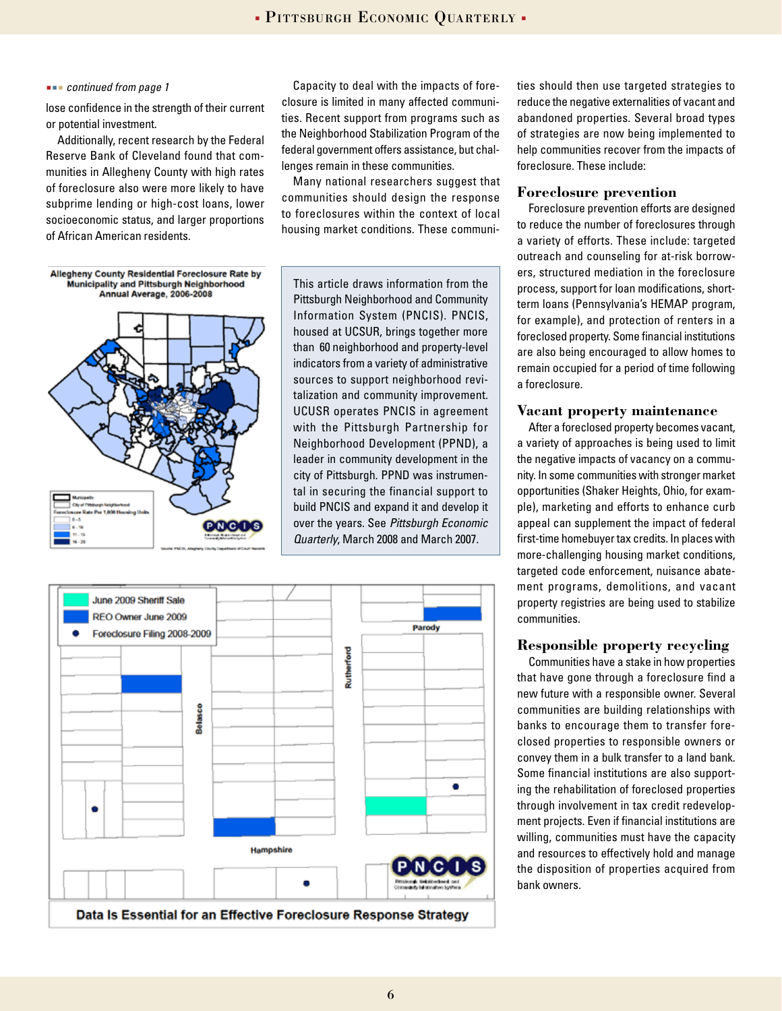#### *continued from page 1*

lose confidence in the strength of their current or potential investment.

Additionally, recent research by the Federal Reserve Bank of Cleveland found that communities in Allegheny County with high rates of foreclosure also were more likely to have subprime lending or high-cost loans, lower socioeconomic status, and larger proportions of African American residents.

Capacity to deal with the impacts of foreclosure is limited in many affected communities. Recent support from programs such as the Neighborhood Stabilization Program of the federal government offers assistance, but challenges remain in these communities.

Many national researchers suggest that communities should design the response to foreclosures within the context of local housing market conditions. These communi-

Allegheny County Residential Foreclosure Rate by **Municipality and Pittsburgh Neighborhood** Annual Average, 2006-2008



This article draws information from the Pittsburgh Neighborhood and Community Information System (PNCIS). PNCIS, housed at UCSUR, brings together more than 60 neighborhood and property-level indicators from a variety of administrative sources to support neighborhood revitalization and community improvement. UCUSR operates PNCIS in agreement with the Pittsburgh Partnership for Neighborhood Development (PPND), a leader in community development in the city of Pittsburgh. PPND was instrumental in securing the financial support to build PNCIS and expand it and develop it over the years. See *Pittsburgh Economic Quarterly*, March 2008 and March 2007.



ties should then use targeted strategies to reduce the negative externalities of vacant and abandoned properties. Several broad types of strategies are now being implemented to help communities recover from the impacts of foreclosure. These include:

#### **Foreclosure prevention**

Foreclosure prevention efforts are designed to reduce the number of foreclosures through a variety of efforts. These include: targeted outreach and counseling for at-risk borrowers, structured mediation in the foreclosure process, support for loan modifications, shortterm loans (Pennsylvania's HEMAP program, for example), and protection of renters in a foreclosed property. Some financial institutions are also being encouraged to allow homes to remain occupied for a period of time following a foreclosure.

#### **Vacant property maintenance**

After a foreclosed property becomes vacant, a variety of approaches is being used to limit the negative impacts of vacancy on a community. In some communities with stronger market opportunities (Shaker Heights, Ohio, for example), marketing and efforts to enhance curb appeal can supplement the impact of federal first-time homebuyer tax credits. In places with more-challenging housing market conditions, targeted code enforcement, nuisance abatement programs, demolitions, and vacant property registries are being used to stabilize communities.

#### **Responsible property recycling**

Communities have a stake in how properties that have gone through a foreclosure find a new future with a responsible owner. Several communities are building relationships with banks to encourage them to transfer foreclosed properties to responsible owners or convey them in a bulk transfer to a land bank. Some financial institutions are also supporting the rehabilitation of foreclosed properties through involvement in tax credit redevelopment projects. Even if financial institutions are willing, communities must have the capacity and resources to effectively hold and manage the disposition of properties acquired from bank owners.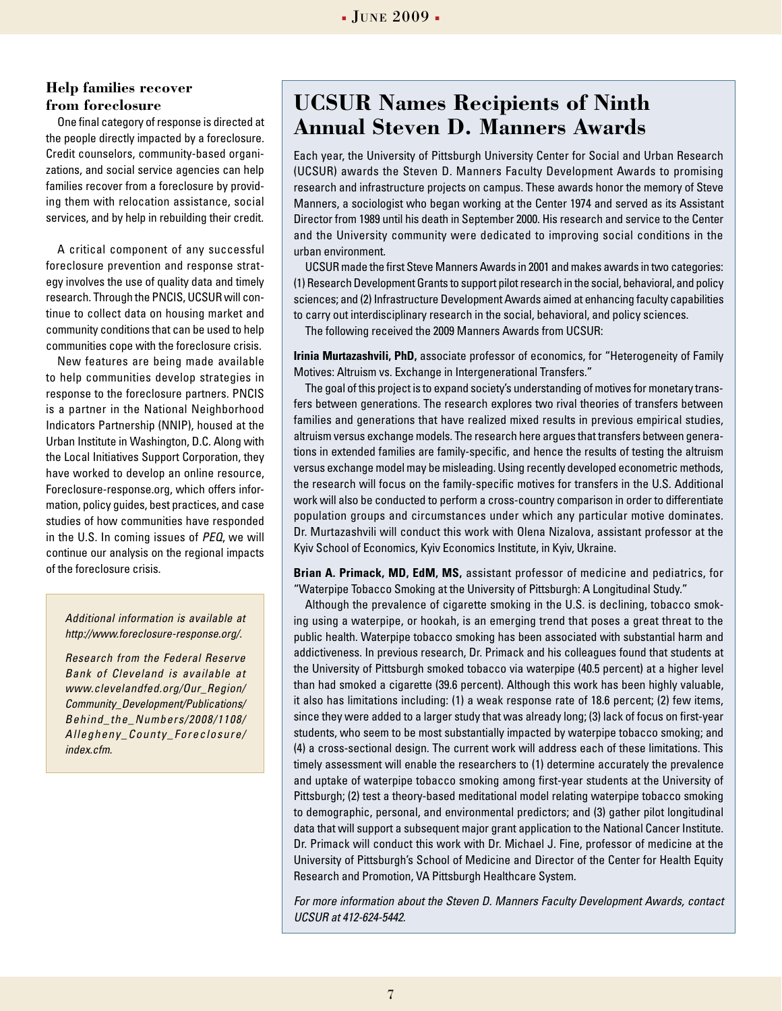#### **Help families recover from foreclosure**

One final category of response is directed at the people directly impacted by a foreclosure. Credit counselors, community-based organizations, and social service agencies can help families recover from a foreclosure by providing them with relocation assistance, social services, and by help in rebuilding their credit.

A critical component of any successful foreclosure prevention and response strategy involves the use of quality data and timely research. Through the PNCIS, UCSUR will continue to collect data on housing market and community conditions that can be used to help communities cope with the foreclosure crisis.

New features are being made available to help communities develop strategies in response to the foreclosure partners. PNCIS is a partner in the National Neighborhood Indicators Partnership (NNIP), housed at the Urban Institute in Washington, D.C. Along with the Local Initiatives Support Corporation, they have worked to develop an online resource, Foreclosure-response.org, which offers information, policy guides, best practices, and case studies of how communities have responded in the U.S. In coming issues of *PEQ*, we will continue our analysis on the regional impacts of the foreclosure crisis.

*Additional information is available at http://www.foreclosure-response.org/.*

*Research from the Federal Reserve Bank of Cleveland is available at www.clevelandfed.org/Our\_Region/ Community\_Development/Publications/ Behind\_the\_Numbers/2008/1108/ Allegheny\_County\_Foreclosure/ index.cfm.*

## **UCSUR Names Recipients of Ninth Annual Steven D. Manners Awards**

Each year, the University of Pittsburgh University Center for Social and Urban Research (UCSUR) awards the Steven D. Manners Faculty Development Awards to promising research and infrastructure projects on campus. These awards honor the memory of Steve Manners, a sociologist who began working at the Center 1974 and served as its Assistant Director from 1989 until his death in September 2000. His research and service to the Center and the University community were dedicated to improving social conditions in the urban environment.

UCSUR made the first Steve Manners Awards in 2001 and makes awards in two categories: (1) Research Development Grants to support pilot research in the social, behavioral, and policy sciences; and (2) Infrastructure Development Awards aimed at enhancing faculty capabilities to carry out interdisciplinary research in the social, behavioral, and policy sciences.

The following received the 2009 Manners Awards from UCSUR:

**Irinia Murtazashvili, PhD,** associate professor of economics, for "Heterogeneity of Family Motives: Altruism vs. Exchange in Intergenerational Transfers."

The goal of this project is to expand society's understanding of motives for monetary transfers between generations. The research explores two rival theories of transfers between families and generations that have realized mixed results in previous empirical studies, altruism versus exchange models. The research here argues that transfers between generations in extended families are family-specific, and hence the results of testing the altruism versus exchange model may be misleading. Using recently developed econometric methods, the research will focus on the family-specific motives for transfers in the U.S. Additional work will also be conducted to perform a cross-country comparison in order to differentiate population groups and circumstances under which any particular motive dominates. Dr. Murtazashvili will conduct this work with Olena Nizalova, assistant professor at the Kyiv School of Economics, Kyiv Economics Institute, in Kyiv, Ukraine.

**Brian A. Primack, MD, EdM, MS,** assistant professor of medicine and pediatrics, for "Waterpipe Tobacco Smoking at the University of Pittsburgh: A Longitudinal Study."

Although the prevalence of cigarette smoking in the U.S. is declining, tobacco smoking using a waterpipe, or hookah, is an emerging trend that poses a great threat to the public health. Waterpipe tobacco smoking has been associated with substantial harm and addictiveness. In previous research, Dr. Primack and his colleagues found that students at the University of Pittsburgh smoked tobacco via waterpipe (40.5 percent) at a higher level than had smoked a cigarette (39.6 percent). Although this work has been highly valuable, it also has limitations including: (1) a weak response rate of 18.6 percent; (2) few items, since they were added to a larger study that was already long; (3) lack of focus on first-year students, who seem to be most substantially impacted by waterpipe tobacco smoking; and (4) a cross-sectional design. The current work will address each of these limitations. This timely assessment will enable the researchers to (1) determine accurately the prevalence and uptake of waterpipe tobacco smoking among first-year students at the University of Pittsburgh; (2) test a theory-based meditational model relating waterpipe tobacco smoking to demographic, personal, and environmental predictors; and (3) gather pilot longitudinal data that will support a subsequent major grant application to the National Cancer Institute. Dr. Primack will conduct this work with Dr. Michael J. Fine, professor of medicine at the University of Pittsburgh's School of Medicine and Director of the Center for Health Equity Research and Promotion, VA Pittsburgh Healthcare System.

*For more information about the Steven D. Manners Faculty Development Awards, contact UCSUR at 412-624-5442.*